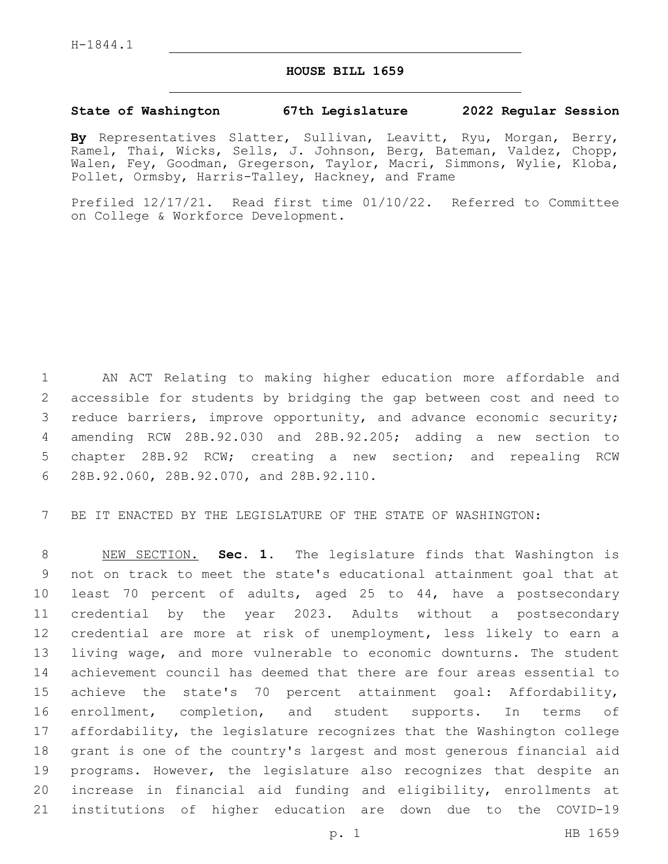## **HOUSE BILL 1659**

## **State of Washington 67th Legislature 2022 Regular Session**

**By** Representatives Slatter, Sullivan, Leavitt, Ryu, Morgan, Berry, Ramel, Thai, Wicks, Sells, J. Johnson, Berg, Bateman, Valdez, Chopp, Walen, Fey, Goodman, Gregerson, Taylor, Macri, Simmons, Wylie, Kloba, Pollet, Ormsby, Harris-Talley, Hackney, and Frame

Prefiled 12/17/21. Read first time 01/10/22. Referred to Committee on College & Workforce Development.

 AN ACT Relating to making higher education more affordable and accessible for students by bridging the gap between cost and need to reduce barriers, improve opportunity, and advance economic security; amending RCW 28B.92.030 and 28B.92.205; adding a new section to chapter 28B.92 RCW; creating a new section; and repealing RCW 28B.92.060, 28B.92.070, and 28B.92.110.6

BE IT ENACTED BY THE LEGISLATURE OF THE STATE OF WASHINGTON:

 NEW SECTION. **Sec. 1.** The legislature finds that Washington is not on track to meet the state's educational attainment goal that at least 70 percent of adults, aged 25 to 44, have a postsecondary credential by the year 2023. Adults without a postsecondary credential are more at risk of unemployment, less likely to earn a living wage, and more vulnerable to economic downturns. The student achievement council has deemed that there are four areas essential to achieve the state's 70 percent attainment goal: Affordability, enrollment, completion, and student supports. In terms of affordability, the legislature recognizes that the Washington college grant is one of the country's largest and most generous financial aid programs. However, the legislature also recognizes that despite an increase in financial aid funding and eligibility, enrollments at institutions of higher education are down due to the COVID-19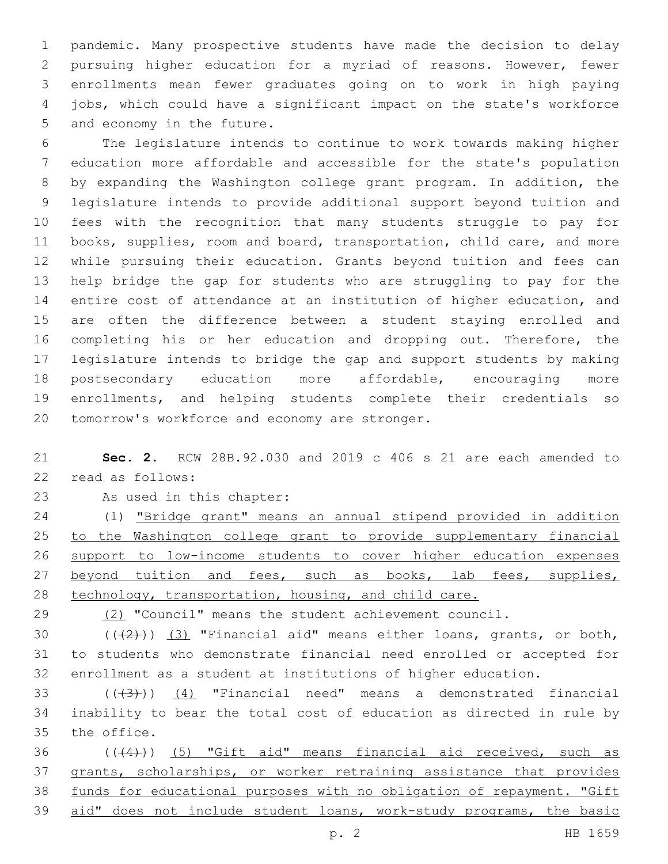pandemic. Many prospective students have made the decision to delay pursuing higher education for a myriad of reasons. However, fewer enrollments mean fewer graduates going on to work in high paying jobs, which could have a significant impact on the state's workforce 5 and economy in the future.

 The legislature intends to continue to work towards making higher education more affordable and accessible for the state's population by expanding the Washington college grant program. In addition, the legislature intends to provide additional support beyond tuition and fees with the recognition that many students struggle to pay for books, supplies, room and board, transportation, child care, and more while pursuing their education. Grants beyond tuition and fees can help bridge the gap for students who are struggling to pay for the entire cost of attendance at an institution of higher education, and are often the difference between a student staying enrolled and 16 completing his or her education and dropping out. Therefore, the legislature intends to bridge the gap and support students by making postsecondary education more affordable, encouraging more enrollments, and helping students complete their credentials so 20 tomorrow's workforce and economy are stronger.

 **Sec. 2.** RCW 28B.92.030 and 2019 c 406 s 21 are each amended to 22 read as follows:

23 As used in this chapter:

 (1) "Bridge grant" means an annual stipend provided in addition to the Washington college grant to provide supplementary financial support to low-income students to cover higher education expenses 27 beyond tuition and fees, such as books, lab fees, supplies, technology, transportation, housing, and child care.

29 (2) "Council" means the student achievement council.

30  $((+2+))$   $(3)$  "Financial aid" means either loans, grants, or both, to students who demonstrate financial need enrolled or accepted for enrollment as a student at institutions of higher education.

33  $((+3+))$   $(4)$  "Financial need" means a demonstrated financial inability to bear the total cost of education as directed in rule by 35 the office.

 (((4))) (5) "Gift aid" means financial aid received, such as grants, scholarships, or worker retraining assistance that provides funds for educational purposes with no obligation of repayment. "Gift aid" does not include student loans, work-study programs, the basic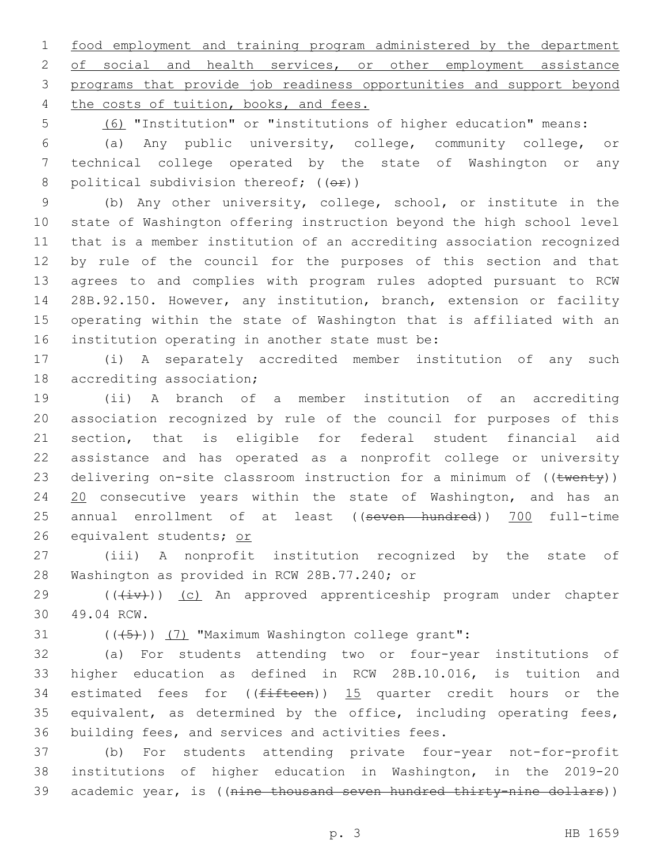1 food employment and training program administered by the department 2 of social and health services, or other employment assistance 3 programs that provide job readiness opportunities and support beyond 4 the costs of tuition, books, and fees.

5 (6) "Institution" or "institutions of higher education" means:

6 (a) Any public university, college, community college, or 7 technical college operated by the state of Washington or any 8 political subdivision thereof;  $((\theta \cdot \hat{r}))$ 

 (b) Any other university, college, school, or institute in the state of Washington offering instruction beyond the high school level that is a member institution of an accrediting association recognized by rule of the council for the purposes of this section and that agrees to and complies with program rules adopted pursuant to RCW 28B.92.150. However, any institution, branch, extension or facility operating within the state of Washington that is affiliated with an 16 institution operating in another state must be:

17 (i) A separately accredited member institution of any such 18 accrediting association;

19 (ii) A branch of a member institution of an accrediting 20 association recognized by rule of the council for purposes of this 21 section, that is eligible for federal student financial aid 22 assistance and has operated as a nonprofit college or university 23 delivering on-site classroom instruction for a minimum of ((twenty)) 24 20 consecutive years within the state of Washington, and has an 25 annual enrollment of at least ((seven hundred)) 700 full-time 26 equivalent students; or

27 (iii) A nonprofit institution recognized by the state of 28 Washington as provided in RCW 28B.77.240; or

29 (( $(iiv)$ ) (c) An approved apprenticeship program under chapter 49.04 RCW.30

31  $((+5+))$   $(7)$  "Maximum Washington college grant":

32 (a) For students attending two or four-year institutions of 33 higher education as defined in RCW 28B.10.016, is tuition and 34 estimated fees for  $((fifteen))$  15 quarter credit hours or the 35 equivalent, as determined by the office, including operating fees, 36 building fees, and services and activities fees.

37 (b) For students attending private four-year not-for-profit 38 institutions of higher education in Washington, in the 2019-20 39 academic year, is ((nine thousand seven hundred thirty-nine dollars))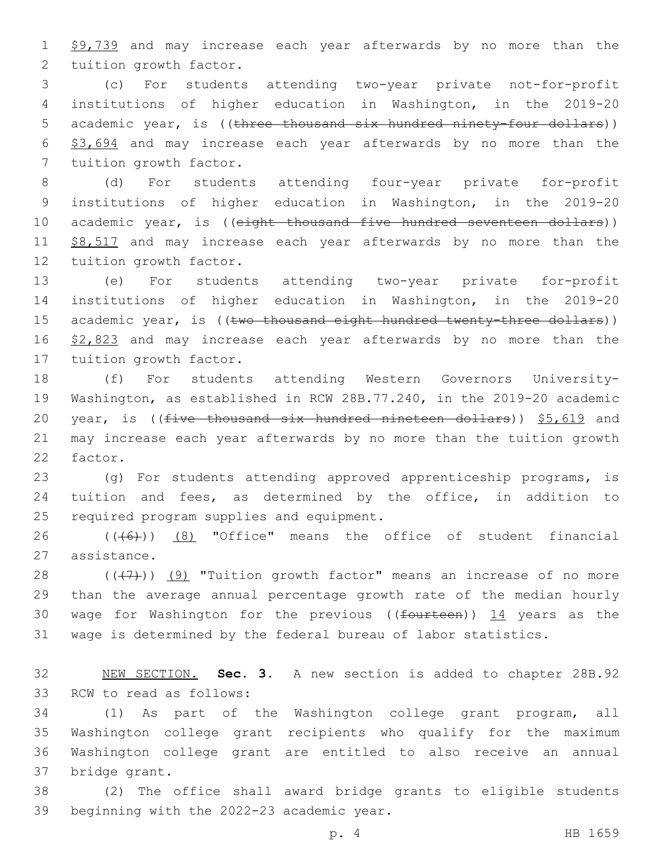1 \$9,739 and may increase each year afterwards by no more than the 2 tuition growth factor.

3 (c) For students attending two-year private not-for-profit 4 institutions of higher education in Washington, in the 2019-20 5 academic year, is ((three thousand six hundred ninety-four dollars)) 6 \$3,694 and may increase each year afterwards by no more than the 7 tuition growth factor.

8 (d) For students attending four-year private for-profit 9 institutions of higher education in Washington, in the 2019-20 10 academic year, is ((eight thousand five hundred seventeen dollars)) 11 \$8,517 and may increase each year afterwards by no more than the 12 tuition growth factor.

13 (e) For students attending two-year private for-profit 14 institutions of higher education in Washington, in the 2019-20 15 academic year, is ((two thousand eight hundred twenty-three dollars)) 16 \$2,823 and may increase each year afterwards by no more than the 17 tuition growth factor.

18 (f) For students attending Western Governors University-19 Washington, as established in RCW 28B.77.240, in the 2019-20 academic 20 year, is (( $f$ ive thousand six hundred nineteen dollars))  $$5,619$  and 21 may increase each year afterwards by no more than the tuition growth 22 factor.

23 (g) For students attending approved apprenticeship programs, is 24 tuition and fees, as determined by the office, in addition to 25 required program supplies and equipment.

26 (((6)) (8) "Office" means the office of student financial 27 assistance.

 $((+7+))$   $(9)$  "Tuition growth factor" means an increase of no more than the average annual percentage growth rate of the median hourly 30 wage for Washington for the previous (( $f$ ourteen))  $14$  years as the wage is determined by the federal bureau of labor statistics.

32 NEW SECTION. **Sec. 3.** A new section is added to chapter 28B.92 33 RCW to read as follows:

 (1) As part of the Washington college grant program, all Washington college grant recipients who qualify for the maximum Washington college grant are entitled to also receive an annual 37 bridge grant.

38 (2) The office shall award bridge grants to eligible students 39 beginning with the 2022-23 academic year.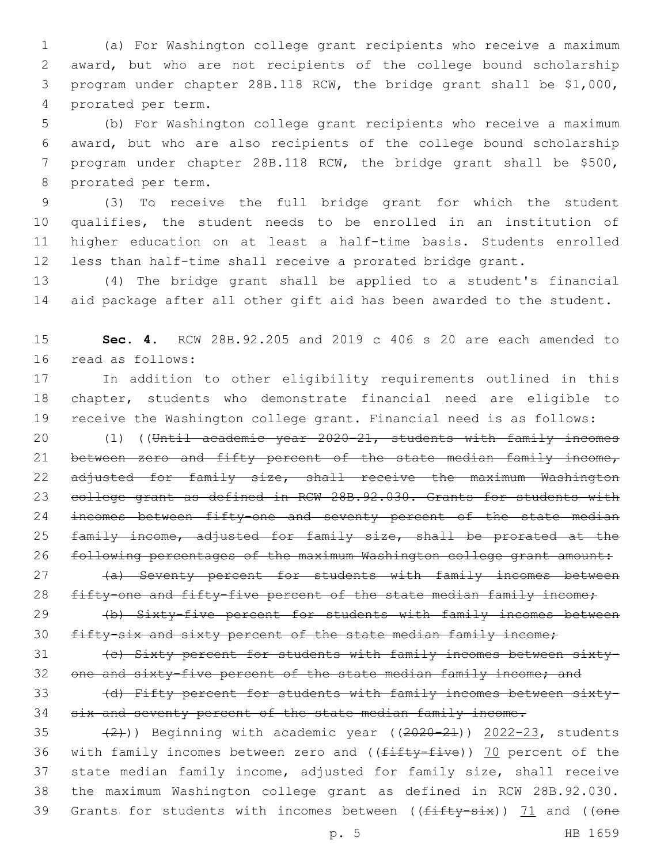(a) For Washington college grant recipients who receive a maximum award, but who are not recipients of the college bound scholarship program under chapter 28B.118 RCW, the bridge grant shall be \$1,000, 4 prorated per term.

 (b) For Washington college grant recipients who receive a maximum award, but who are also recipients of the college bound scholarship program under chapter 28B.118 RCW, the bridge grant shall be \$500, 8 prorated per term.

 (3) To receive the full bridge grant for which the student qualifies, the student needs to be enrolled in an institution of higher education on at least a half-time basis. Students enrolled less than half-time shall receive a prorated bridge grant.

13 (4) The bridge grant shall be applied to a student's financial 14 aid package after all other gift aid has been awarded to the student.

15 **Sec. 4.** RCW 28B.92.205 and 2019 c 406 s 20 are each amended to 16 read as follows:

17 In addition to other eligibility requirements outlined in this 18 chapter, students who demonstrate financial need are eligible to 19 receive the Washington college grant. Financial need is as follows:

20 (1) ((Until academic year 2020-21, students with family incomes 21 between zero and fifty percent of the state median family income, 22 adjusted for family size, shall receive the maximum Washington 23 college grant as defined in RCW 28B.92.030. Grants for students with 24 incomes between fifty-one and seventy percent of the state median 25 family income, adjusted for family size, shall be prorated at the 26 following percentages of the maximum Washington college grant amount:

27 (a) Seventy percent for students with family incomes between 28 fifty-one and fifty-five percent of the state median family income;

29 (b) Sixty-five percent for students with family incomes between 30 fifty-six and sixty percent of the state median family income;

31 (c) Sixty percent for students with family incomes between sixty-32 one and sixty-five percent of the state median family income; and

33 (d) Fifty percent for students with family incomes between sixty-34 six and seventy percent of the state median family income.

35  $(2)$ )) Beginning with academic year  $((2020-21))$  2022-23, students 36 with family incomes between zero and ((fifty-five)) 70 percent of the 37 state median family income, adjusted for family size, shall receive 38 the maximum Washington college grant as defined in RCW 28B.92.030. 39 Grants for students with incomes between (( $f$ ifty-six)) 71 and ((one

p. 5 HB 1659